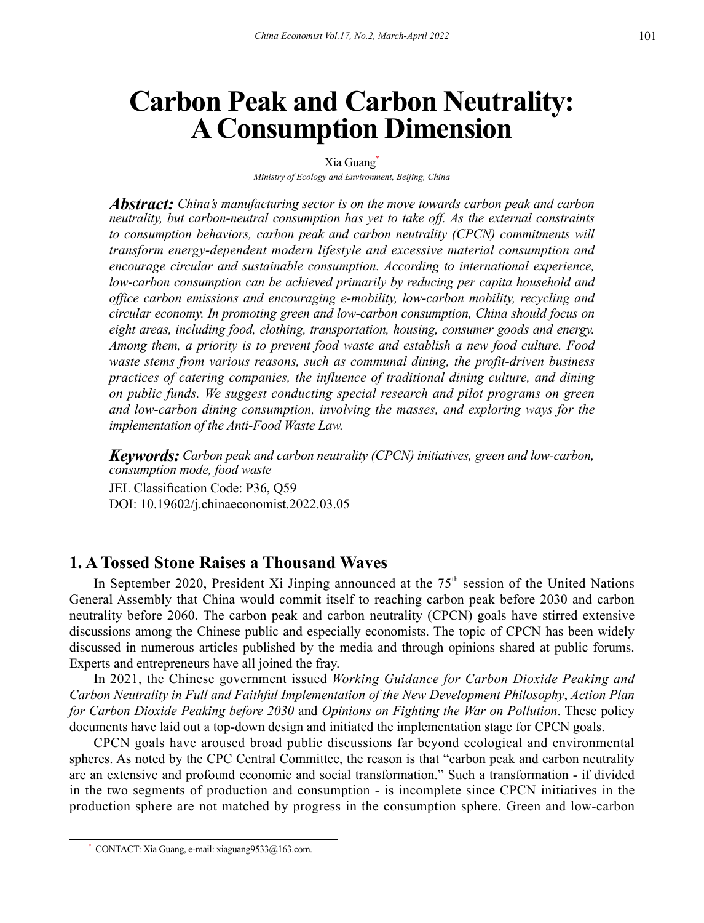# **Carbon Peak and Carbon Neutrality: A Consumption Dimension**

#### Xia Guang

*Ministry of Ecology and Environment, Beijing, China*

*Abstract: China's manufacturing sector is on the move towards carbon peak and carbon neutrality, but carbon-neutral consumption has yet to take off. As the external constraints to consumption behaviors, carbon peak and carbon neutrality (CPCN) commitments will transform energy-dependent modern lifestyle and excessive material consumption and encourage circular and sustainable consumption. According to international experience, low-carbon consumption can be achieved primarily by reducing per capita household and office carbon emissions and encouraging e-mobility, low-carbon mobility, recycling and circular economy. In promoting green and low-carbon consumption, China should focus on eight areas, including food, clothing, transportation, housing, consumer goods and energy. Among them, a priority is to prevent food waste and establish a new food culture. Food waste stems from various reasons, such as communal dining, the profit-driven business practices of catering companies, the influence of traditional dining culture, and dining on public funds. We suggest conducting special research and pilot programs on green and low-carbon dining consumption, involving the masses, and exploring ways for the implementation of the Anti-Food Waste Law.*

*Keywords: Carbon peak and carbon neutrality (CPCN) initiatives, green and low-carbon, consumption mode, food waste* JEL Classification Code: P36, Q59 DOI: 10.19602/j.chinaeconomist.2022.03.05

## **1. A Tossed Stone Raises a Thousand Waves**

In September 2020, President Xi Jinping announced at the  $75<sup>th</sup>$  session of the United Nations General Assembly that China would commit itself to reaching carbon peak before 2030 and carbon neutrality before 2060. The carbon peak and carbon neutrality (CPCN) goals have stirred extensive discussions among the Chinese public and especially economists. The topic of CPCN has been widely discussed in numerous articles published by the media and through opinions shared at public forums. Experts and entrepreneurs have all joined the fray.

In 2021, the Chinese government issued *Working Guidance for Carbon Dioxide Peaking and Carbon Neutrality in Full and Faithful Implementation of the New Development Philosophy*, *Action Plan for Carbon Dioxide Peaking before 2030* and *Opinions on Fighting the War on Pollution*. These policy documents have laid out a top-down design and initiated the implementation stage for CPCN goals.

CPCN goals have aroused broad public discussions far beyond ecological and environmental spheres. As noted by the CPC Central Committee, the reason is that "carbon peak and carbon neutrality are an extensive and profound economic and social transformation." Such a transformation - if divided in the two segments of production and consumption - is incomplete since CPCN initiatives in the production sphere are not matched by progress in the consumption sphere. Green and low-carbon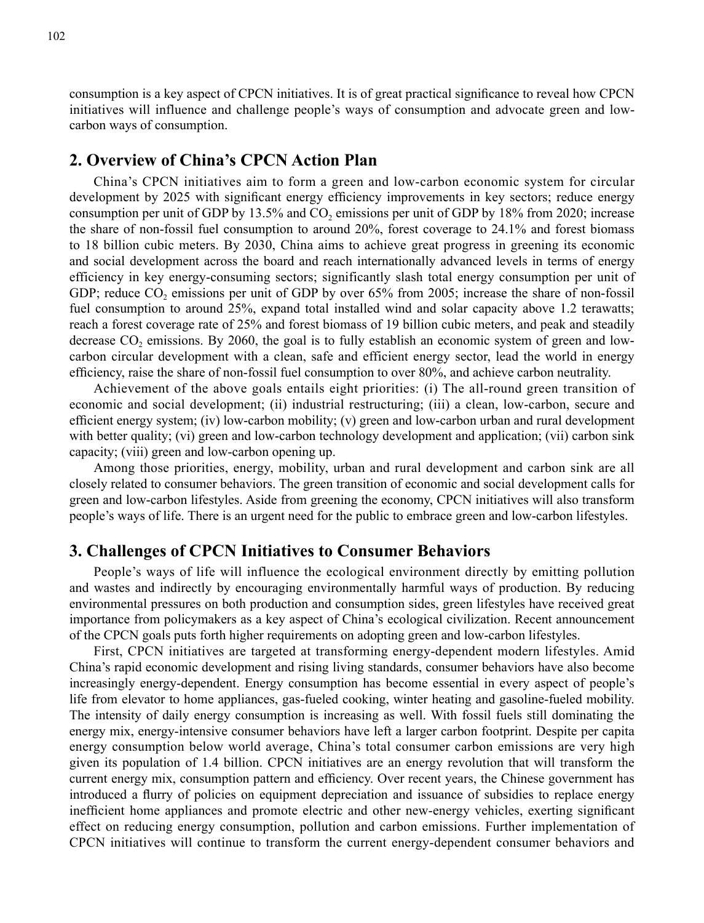consumption is a key aspect of CPCN initiatives. It is of great practical significance to reveal how CPCN initiatives will influence and challenge people's ways of consumption and advocate green and lowcarbon ways of consumption.

## **2. Overview of China's CPCN Action Plan**

China's CPCN initiatives aim to form a green and low-carbon economic system for circular development by 2025 with significant energy efficiency improvements in key sectors; reduce energy consumption per unit of GDP by  $13.5\%$  and CO<sub>2</sub> emissions per unit of GDP by 18% from 2020; increase the share of non-fossil fuel consumption to around 20%, forest coverage to 24.1% and forest biomass to 18 billion cubic meters. By 2030, China aims to achieve great progress in greening its economic and social development across the board and reach internationally advanced levels in terms of energy efficiency in key energy-consuming sectors; significantly slash total energy consumption per unit of GDP; reduce  $CO<sub>2</sub>$  emissions per unit of GDP by over 65% from 2005; increase the share of non-fossil fuel consumption to around 25%, expand total installed wind and solar capacity above 1.2 terawatts; reach a forest coverage rate of 25% and forest biomass of 19 billion cubic meters, and peak and steadily decrease CO<sub>2</sub> emissions. By 2060, the goal is to fully establish an economic system of green and lowcarbon circular development with a clean, safe and efficient energy sector, lead the world in energy efficiency, raise the share of non-fossil fuel consumption to over 80%, and achieve carbon neutrality.

Achievement of the above goals entails eight priorities: (i) The all-round green transition of economic and social development; (ii) industrial restructuring; (iii) a clean, low-carbon, secure and efficient energy system; (iv) low-carbon mobility; (v) green and low-carbon urban and rural development with better quality; (vi) green and low-carbon technology development and application; (vii) carbon sink capacity; (viii) green and low-carbon opening up.

Among those priorities, energy, mobility, urban and rural development and carbon sink are all closely related to consumer behaviors. The green transition of economic and social development calls for green and low-carbon lifestyles. Aside from greening the economy, CPCN initiatives will also transform people's ways of life. There is an urgent need for the public to embrace green and low-carbon lifestyles.

# **3. Challenges of CPCN Initiatives to Consumer Behaviors**

People's ways of life will influence the ecological environment directly by emitting pollution and wastes and indirectly by encouraging environmentally harmful ways of production. By reducing environmental pressures on both production and consumption sides, green lifestyles have received great importance from policymakers as a key aspect of China's ecological civilization. Recent announcement of the CPCN goals puts forth higher requirements on adopting green and low-carbon lifestyles.

First, CPCN initiatives are targeted at transforming energy-dependent modern lifestyles. Amid China's rapid economic development and rising living standards, consumer behaviors have also become increasingly energy-dependent. Energy consumption has become essential in every aspect of people's life from elevator to home appliances, gas-fueled cooking, winter heating and gasoline-fueled mobility. The intensity of daily energy consumption is increasing as well. With fossil fuels still dominating the energy mix, energy-intensive consumer behaviors have left a larger carbon footprint. Despite per capita energy consumption below world average, China's total consumer carbon emissions are very high given its population of 1.4 billion. CPCN initiatives are an energy revolution that will transform the current energy mix, consumption pattern and efficiency. Over recent years, the Chinese government has introduced a flurry of policies on equipment depreciation and issuance of subsidies to replace energy inefficient home appliances and promote electric and other new-energy vehicles, exerting significant effect on reducing energy consumption, pollution and carbon emissions. Further implementation of CPCN initiatives will continue to transform the current energy-dependent consumer behaviors and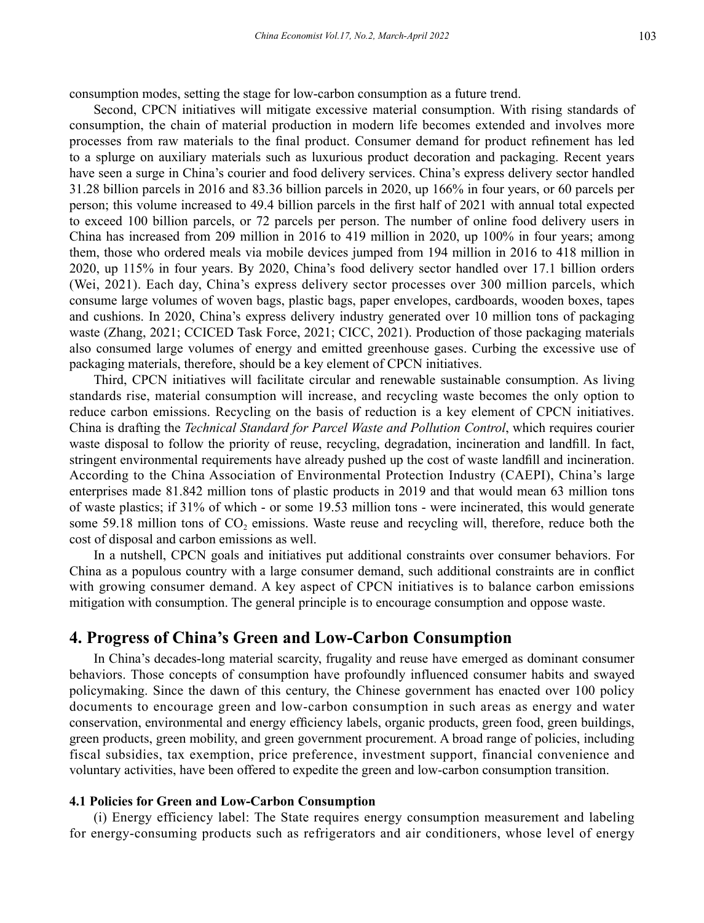consumption modes, setting the stage for low-carbon consumption as a future trend.

Second, CPCN initiatives will mitigate excessive material consumption. With rising standards of consumption, the chain of material production in modern life becomes extended and involves more processes from raw materials to the final product. Consumer demand for product refinement has led to a splurge on auxiliary materials such as luxurious product decoration and packaging. Recent years have seen a surge in China's courier and food delivery services. China's express delivery sector handled 31.28 billion parcels in 2016 and 83.36 billion parcels in 2020, up 166% in four years, or 60 parcels per person; this volume increased to 49.4 billion parcels in the first half of 2021 with annual total expected to exceed 100 billion parcels, or 72 parcels per person. The number of online food delivery users in China has increased from 209 million in 2016 to 419 million in 2020, up 100% in four years; among them, those who ordered meals via mobile devices jumped from 194 million in 2016 to 418 million in 2020, up 115% in four years. By 2020, China's food delivery sector handled over 17.1 billion orders (Wei, 2021). Each day, China's express delivery sector processes over 300 million parcels, which consume large volumes of woven bags, plastic bags, paper envelopes, cardboards, wooden boxes, tapes and cushions. In 2020, China's express delivery industry generated over 10 million tons of packaging waste (Zhang, 2021; CCICED Task Force, 2021; CICC, 2021). Production of those packaging materials also consumed large volumes of energy and emitted greenhouse gases. Curbing the excessive use of packaging materials, therefore, should be a key element of CPCN initiatives.

Third, CPCN initiatives will facilitate circular and renewable sustainable consumption. As living standards rise, material consumption will increase, and recycling waste becomes the only option to reduce carbon emissions. Recycling on the basis of reduction is a key element of CPCN initiatives. China is drafting the *Technical Standard for Parcel Waste and Pollution Control*, which requires courier waste disposal to follow the priority of reuse, recycling, degradation, incineration and landfill. In fact, stringent environmental requirements have already pushed up the cost of waste landfill and incineration. According to the China Association of Environmental Protection Industry (CAEPI), China's large enterprises made 81.842 million tons of plastic products in 2019 and that would mean 63 million tons of waste plastics; if 31% of which - or some 19.53 million tons - were incinerated, this would generate some 59.18 million tons of  $CO<sub>2</sub>$  emissions. Waste reuse and recycling will, therefore, reduce both the cost of disposal and carbon emissions as well.

In a nutshell, CPCN goals and initiatives put additional constraints over consumer behaviors. For China as a populous country with a large consumer demand, such additional constraints are in conflict with growing consumer demand. A key aspect of CPCN initiatives is to balance carbon emissions mitigation with consumption. The general principle is to encourage consumption and oppose waste.

## **4. Progress of China's Green and Low-Carbon Consumption**

In China's decades-long material scarcity, frugality and reuse have emerged as dominant consumer behaviors. Those concepts of consumption have profoundly influenced consumer habits and swayed policymaking. Since the dawn of this century, the Chinese government has enacted over 100 policy documents to encourage green and low-carbon consumption in such areas as energy and water conservation, environmental and energy efficiency labels, organic products, green food, green buildings, green products, green mobility, and green government procurement. A broad range of policies, including fiscal subsidies, tax exemption, price preference, investment support, financial convenience and voluntary activities, have been offered to expedite the green and low-carbon consumption transition.

#### **4.1 Policies for Green and Low-Carbon Consumption**

(i) Energy efficiency label: The State requires energy consumption measurement and labeling for energy-consuming products such as refrigerators and air conditioners, whose level of energy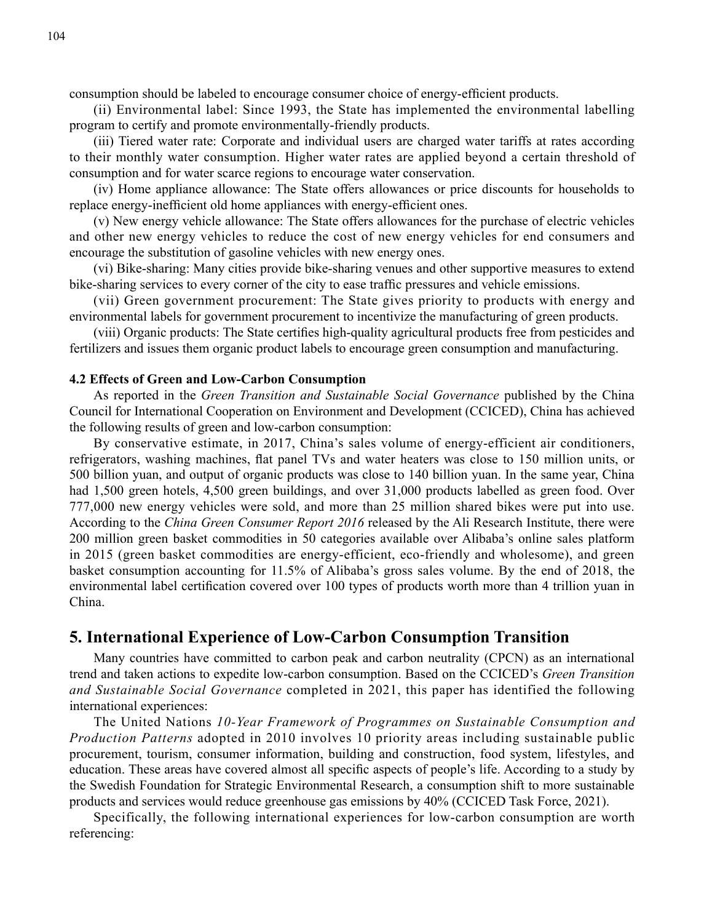consumption should be labeled to encourage consumer choice of energy-efficient products.

(ii) Environmental label: Since 1993, the State has implemented the environmental labelling program to certify and promote environmentally-friendly products.

(iii) Tiered water rate: Corporate and individual users are charged water tariffs at rates according to their monthly water consumption. Higher water rates are applied beyond a certain threshold of consumption and for water scarce regions to encourage water conservation.

(iv) Home appliance allowance: The State offers allowances or price discounts for households to replace energy-inefficient old home appliances with energy-efficient ones.

(v) New energy vehicle allowance: The State offers allowances for the purchase of electric vehicles and other new energy vehicles to reduce the cost of new energy vehicles for end consumers and encourage the substitution of gasoline vehicles with new energy ones.

(vi) Bike-sharing: Many cities provide bike-sharing venues and other supportive measures to extend bike-sharing services to every corner of the city to ease traffic pressures and vehicle emissions.

(vii) Green government procurement: The State gives priority to products with energy and environmental labels for government procurement to incentivize the manufacturing of green products.

(viii) Organic products: The State certifies high-quality agricultural products free from pesticides and fertilizers and issues them organic product labels to encourage green consumption and manufacturing.

#### **4.2 Effects of Green and Low-Carbon Consumption**

As reported in the *Green Transition and Sustainable Social Governance* published by the China Council for International Cooperation on Environment and Development (CCICED), China has achieved the following results of green and low-carbon consumption:

By conservative estimate, in 2017, China's sales volume of energy-efficient air conditioners, refrigerators, washing machines, flat panel TVs and water heaters was close to 150 million units, or 500 billion yuan, and output of organic products was close to 140 billion yuan. In the same year, China had 1,500 green hotels, 4,500 green buildings, and over 31,000 products labelled as green food. Over 777,000 new energy vehicles were sold, and more than 25 million shared bikes were put into use. According to the *China Green Consumer Report 2016* released by the Ali Research Institute, there were 200 million green basket commodities in 50 categories available over Alibaba's online sales platform in 2015 (green basket commodities are energy-efficient, eco-friendly and wholesome), and green basket consumption accounting for 11.5% of Alibaba's gross sales volume. By the end of 2018, the environmental label certification covered over 100 types of products worth more than 4 trillion yuan in China.

## **5. International Experience of Low-Carbon Consumption Transition**

Many countries have committed to carbon peak and carbon neutrality (CPCN) as an international trend and taken actions to expedite low-carbon consumption. Based on the CCICED's *Green Transition and Sustainable Social Governance* completed in 2021, this paper has identified the following international experiences:

The United Nations *10-Year Framework of Programmes on Sustainable Consumption and Production Patterns* adopted in 2010 involves 10 priority areas including sustainable public procurement, tourism, consumer information, building and construction, food system, lifestyles, and education. These areas have covered almost all specific aspects of people's life. According to a study by the Swedish Foundation for Strategic Environmental Research, a consumption shift to more sustainable products and services would reduce greenhouse gas emissions by 40% (CCICED Task Force, 2021).

Specifically, the following international experiences for low-carbon consumption are worth referencing: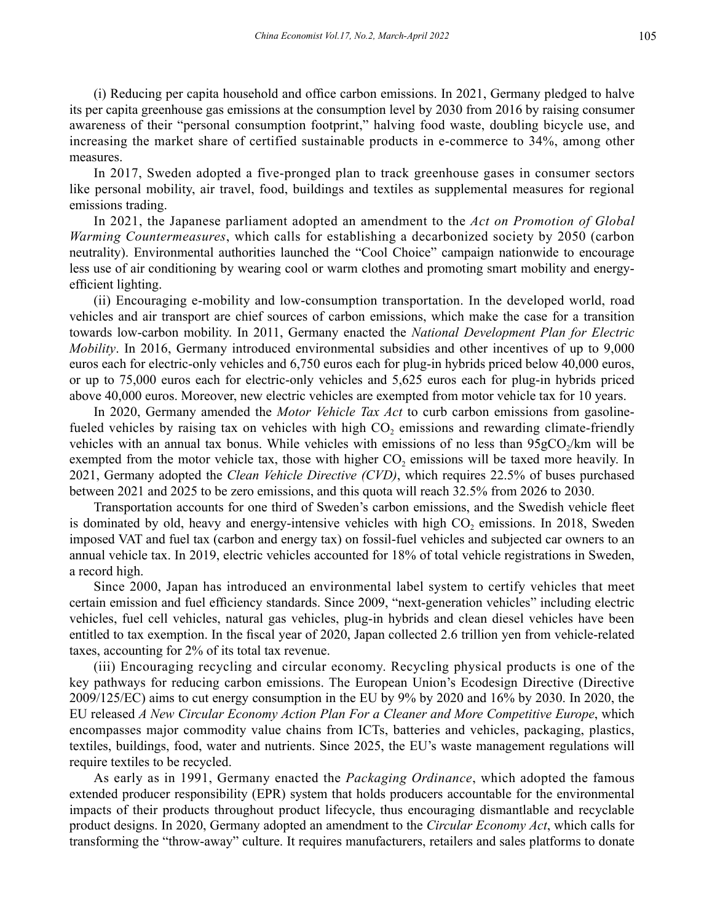(i) Reducing per capita household and office carbon emissions. In 2021, Germany pledged to halve its per capita greenhouse gas emissions at the consumption level by 2030 from 2016 by raising consumer awareness of their "personal consumption footprint," halving food waste, doubling bicycle use, and increasing the market share of certified sustainable products in e-commerce to 34%, among other measures.

In 2017, Sweden adopted a five-pronged plan to track greenhouse gases in consumer sectors like personal mobility, air travel, food, buildings and textiles as supplemental measures for regional emissions trading.

In 2021, the Japanese parliament adopted an amendment to the *Act on Promotion of Global Warming Countermeasures*, which calls for establishing a decarbonized society by 2050 (carbon neutrality). Environmental authorities launched the "Cool Choice" campaign nationwide to encourage less use of air conditioning by wearing cool or warm clothes and promoting smart mobility and energyefficient lighting.

(ii) Encouraging e-mobility and low-consumption transportation. In the developed world, road vehicles and air transport are chief sources of carbon emissions, which make the case for a transition towards low-carbon mobility. In 2011, Germany enacted the *National Development Plan for Electric Mobility*. In 2016, Germany introduced environmental subsidies and other incentives of up to 9,000 euros each for electric-only vehicles and 6,750 euros each for plug-in hybrids priced below 40,000 euros, or up to 75,000 euros each for electric-only vehicles and 5,625 euros each for plug-in hybrids priced above 40,000 euros. Moreover, new electric vehicles are exempted from motor vehicle tax for 10 years.

In 2020, Germany amended the *Motor Vehicle Tax Act* to curb carbon emissions from gasolinefueled vehicles by raising tax on vehicles with high CO<sub>2</sub> emissions and rewarding climate-friendly vehicles with an annual tax bonus. While vehicles with emissions of no less than  $95gCO/km$  will be exempted from the motor vehicle tax, those with higher CO<sub>2</sub> emissions will be taxed more heavily. In 2021, Germany adopted the *Clean Vehicle Directive (CVD)*, which requires 22.5% of buses purchased between 2021 and 2025 to be zero emissions, and this quota will reach 32.5% from 2026 to 2030.

Transportation accounts for one third of Sweden's carbon emissions, and the Swedish vehicle fleet is dominated by old, heavy and energy-intensive vehicles with high CO<sub>2</sub> emissions. In 2018, Sweden imposed VAT and fuel tax (carbon and energy tax) on fossil-fuel vehicles and subjected car owners to an annual vehicle tax. In 2019, electric vehicles accounted for 18% of total vehicle registrations in Sweden, a record high.

Since 2000, Japan has introduced an environmental label system to certify vehicles that meet certain emission and fuel efficiency standards. Since 2009, "next-generation vehicles" including electric vehicles, fuel cell vehicles, natural gas vehicles, plug-in hybrids and clean diesel vehicles have been entitled to tax exemption. In the fiscal year of 2020, Japan collected 2.6 trillion yen from vehicle-related taxes, accounting for 2% of its total tax revenue.

(iii) Encouraging recycling and circular economy. Recycling physical products is one of the key pathways for reducing carbon emissions. The European Union's Ecodesign Directive (Directive 2009/125/EC) aims to cut energy consumption in the EU by 9% by 2020 and 16% by 2030. In 2020, the EU released *A New Circular Economy Action Plan For a Cleaner and More Competitive Europe*, which encompasses major commodity value chains from ICTs, batteries and vehicles, packaging, plastics, textiles, buildings, food, water and nutrients. Since 2025, the EU's waste management regulations will require textiles to be recycled.

As early as in 1991, Germany enacted the *Packaging Ordinance*, which adopted the famous extended producer responsibility (EPR) system that holds producers accountable for the environmental impacts of their products throughout product lifecycle, thus encouraging dismantlable and recyclable product designs. In 2020, Germany adopted an amendment to the *Circular Economy Act*, which calls for transforming the "throw-away" culture. It requires manufacturers, retailers and sales platforms to donate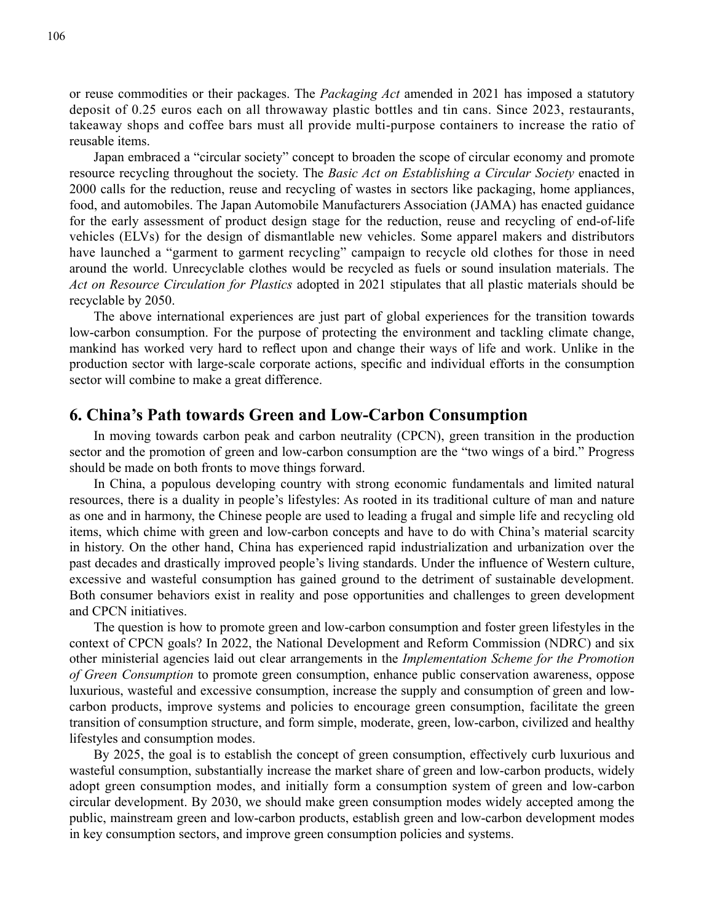or reuse commodities or their packages. The *Packaging Act* amended in 2021 has imposed a statutory deposit of 0.25 euros each on all throwaway plastic bottles and tin cans. Since 2023, restaurants, takeaway shops and coffee bars must all provide multi-purpose containers to increase the ratio of reusable items.

Japan embraced a "circular society" concept to broaden the scope of circular economy and promote resource recycling throughout the society. The *Basic Act on Establishing a Circular Society* enacted in 2000 calls for the reduction, reuse and recycling of wastes in sectors like packaging, home appliances, food, and automobiles. The Japan Automobile Manufacturers Association (JAMA) has enacted guidance for the early assessment of product design stage for the reduction, reuse and recycling of end-of-life vehicles (ELVs) for the design of dismantlable new vehicles. Some apparel makers and distributors have launched a "garment to garment recycling" campaign to recycle old clothes for those in need around the world. Unrecyclable clothes would be recycled as fuels or sound insulation materials. The *Act on Resource Circulation for Plastics* adopted in 2021 stipulates that all plastic materials should be recyclable by 2050.

The above international experiences are just part of global experiences for the transition towards low-carbon consumption. For the purpose of protecting the environment and tackling climate change, mankind has worked very hard to reflect upon and change their ways of life and work. Unlike in the production sector with large-scale corporate actions, specific and individual efforts in the consumption sector will combine to make a great difference.

## **6. China's Path towards Green and Low-Carbon Consumption**

In moving towards carbon peak and carbon neutrality (CPCN), green transition in the production sector and the promotion of green and low-carbon consumption are the "two wings of a bird." Progress should be made on both fronts to move things forward.

In China, a populous developing country with strong economic fundamentals and limited natural resources, there is a duality in people's lifestyles: As rooted in its traditional culture of man and nature as one and in harmony, the Chinese people are used to leading a frugal and simple life and recycling old items, which chime with green and low-carbon concepts and have to do with China's material scarcity in history. On the other hand, China has experienced rapid industrialization and urbanization over the past decades and drastically improved people's living standards. Under the influence of Western culture, excessive and wasteful consumption has gained ground to the detriment of sustainable development. Both consumer behaviors exist in reality and pose opportunities and challenges to green development and CPCN initiatives.

The question is how to promote green and low-carbon consumption and foster green lifestyles in the context of CPCN goals? In 2022, the National Development and Reform Commission (NDRC) and six other ministerial agencies laid out clear arrangements in the *Implementation Scheme for the Promotion of Green Consumption* to promote green consumption, enhance public conservation awareness, oppose luxurious, wasteful and excessive consumption, increase the supply and consumption of green and lowcarbon products, improve systems and policies to encourage green consumption, facilitate the green transition of consumption structure, and form simple, moderate, green, low-carbon, civilized and healthy lifestyles and consumption modes.

By 2025, the goal is to establish the concept of green consumption, effectively curb luxurious and wasteful consumption, substantially increase the market share of green and low-carbon products, widely adopt green consumption modes, and initially form a consumption system of green and low-carbon circular development. By 2030, we should make green consumption modes widely accepted among the public, mainstream green and low-carbon products, establish green and low-carbon development modes in key consumption sectors, and improve green consumption policies and systems.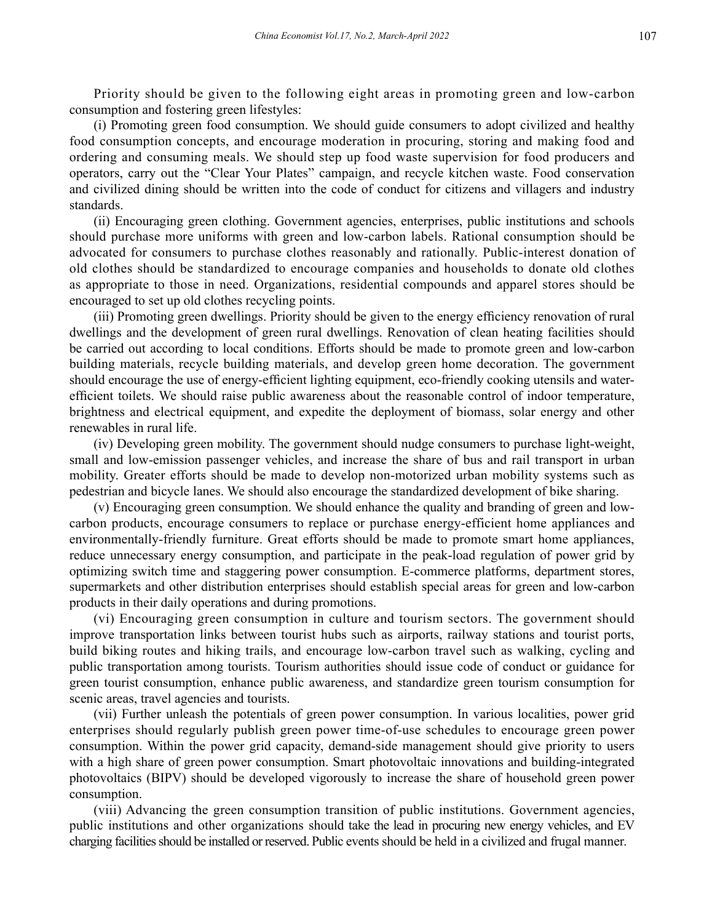Priority should be given to the following eight areas in promoting green and low-carbon consumption and fostering green lifestyles:

(i) Promoting green food consumption. We should guide consumers to adopt civilized and healthy food consumption concepts, and encourage moderation in procuring, storing and making food and ordering and consuming meals. We should step up food waste supervision for food producers and operators, carry out the "Clear Your Plates" campaign, and recycle kitchen waste. Food conservation and civilized dining should be written into the code of conduct for citizens and villagers and industry standards.

(ii) Encouraging green clothing. Government agencies, enterprises, public institutions and schools should purchase more uniforms with green and low-carbon labels. Rational consumption should be advocated for consumers to purchase clothes reasonably and rationally. Public-interest donation of old clothes should be standardized to encourage companies and households to donate old clothes as appropriate to those in need. Organizations, residential compounds and apparel stores should be encouraged to set up old clothes recycling points.

(iii) Promoting green dwellings. Priority should be given to the energy efficiency renovation of rural dwellings and the development of green rural dwellings. Renovation of clean heating facilities should be carried out according to local conditions. Efforts should be made to promote green and low-carbon building materials, recycle building materials, and develop green home decoration. The government should encourage the use of energy-efficient lighting equipment, eco-friendly cooking utensils and waterefficient toilets. We should raise public awareness about the reasonable control of indoor temperature, brightness and electrical equipment, and expedite the deployment of biomass, solar energy and other renewables in rural life.

(iv) Developing green mobility. The government should nudge consumers to purchase light-weight, small and low-emission passenger vehicles, and increase the share of bus and rail transport in urban mobility. Greater efforts should be made to develop non-motorized urban mobility systems such as pedestrian and bicycle lanes. We should also encourage the standardized development of bike sharing.

(v) Encouraging green consumption. We should enhance the quality and branding of green and lowcarbon products, encourage consumers to replace or purchase energy-efficient home appliances and environmentally-friendly furniture. Great efforts should be made to promote smart home appliances, reduce unnecessary energy consumption, and participate in the peak-load regulation of power grid by optimizing switch time and staggering power consumption. E-commerce platforms, department stores, supermarkets and other distribution enterprises should establish special areas for green and low-carbon products in their daily operations and during promotions.

(vi) Encouraging green consumption in culture and tourism sectors. The government should improve transportation links between tourist hubs such as airports, railway stations and tourist ports, build biking routes and hiking trails, and encourage low-carbon travel such as walking, cycling and public transportation among tourists. Tourism authorities should issue code of conduct or guidance for green tourist consumption, enhance public awareness, and standardize green tourism consumption for scenic areas, travel agencies and tourists.

(vii) Further unleash the potentials of green power consumption. In various localities, power grid enterprises should regularly publish green power time-of-use schedules to encourage green power consumption. Within the power grid capacity, demand-side management should give priority to users with a high share of green power consumption. Smart photovoltaic innovations and building-integrated photovoltaics (BIPV) should be developed vigorously to increase the share of household green power consumption.

(viii) Advancing the green consumption transition of public institutions. Government agencies, public institutions and other organizations should take the lead in procuring new energy vehicles, and EV charging facilities should be installed or reserved. Public events should be held in a civilized and frugal manner.